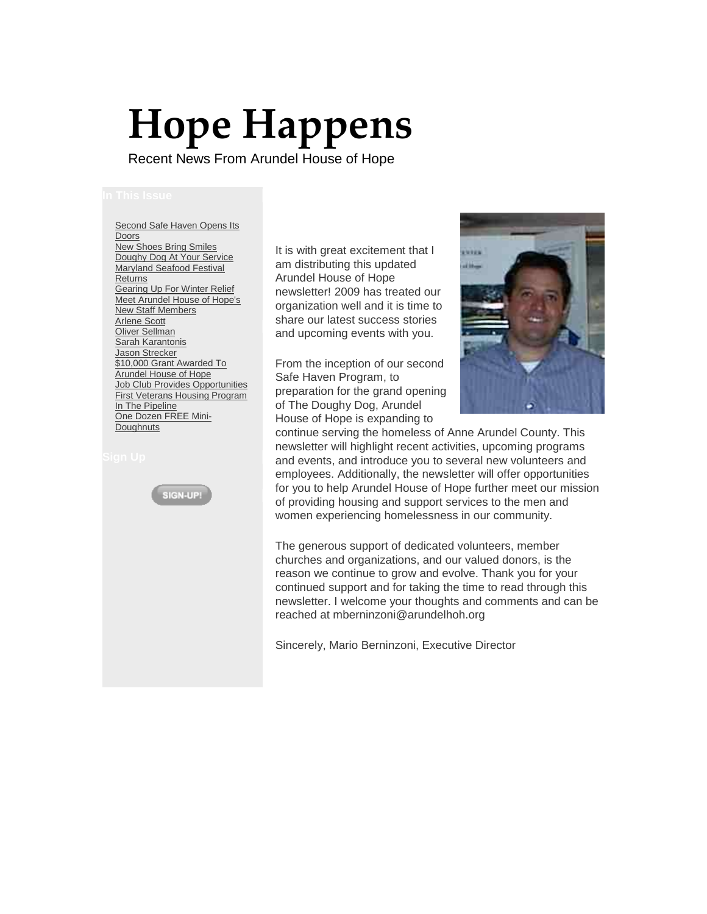# **Hope Happens**

Recent News From Arundel House of Hope

[Second Safe Haven Opens Its](https://ui.constantcontact.com/templates/previewer.jsp?agent.uid=1102667116468#article1)  **[Doors](https://ui.constantcontact.com/templates/previewer.jsp?agent.uid=1102667116468#article1)** [New Shoes Bring Smiles](https://ui.constantcontact.com/templates/previewer.jsp?agent.uid=1102667116468#article2) [Doughy Dog At Your Service](https://ui.constantcontact.com/templates/previewer.jsp?agent.uid=1102667116468#article3) [Maryland Seafood Festival](https://ui.constantcontact.com/templates/previewer.jsp?agent.uid=1102667116468#article4)  **[Returns](https://ui.constantcontact.com/templates/previewer.jsp?agent.uid=1102667116468#article4)** [Gearing Up For Winter Relief](https://ui.constantcontact.com/templates/previewer.jsp?agent.uid=1102667116468#article5) [Meet Arundel House of Hope's](https://ui.constantcontact.com/templates/previewer.jsp?agent.uid=1102667116468#article6)  [New Staff Members](https://ui.constantcontact.com/templates/previewer.jsp?agent.uid=1102667116468#article6) [Arlene Scott](https://ui.constantcontact.com/templates/previewer.jsp?agent.uid=1102667116468#article7) [Oliver Sellman](https://ui.constantcontact.com/templates/previewer.jsp?agent.uid=1102667116468#article8) [Sarah Karantonis](https://ui.constantcontact.com/templates/previewer.jsp?agent.uid=1102667116468#article9) [Jason Strecker](https://ui.constantcontact.com/templates/previewer.jsp?agent.uid=1102667116468#article10) [\\$10,000 Grant Awarded To](https://ui.constantcontact.com/templates/previewer.jsp?agent.uid=1102667116468#article11)  [Arundel House of Hope](https://ui.constantcontact.com/templates/previewer.jsp?agent.uid=1102667116468#article11) [Job Club Provides Opportunities](https://ui.constantcontact.com/templates/previewer.jsp?agent.uid=1102667116468#article12) [First Veterans Housing Program](https://ui.constantcontact.com/templates/previewer.jsp?agent.uid=1102667116468#article13)  [In The Pipeline](https://ui.constantcontact.com/templates/previewer.jsp?agent.uid=1102667116468#article13) [One Dozen FREE Mini-](https://ui.constantcontact.com/templates/previewer.jsp?agent.uid=1102667116468#article14)**[Doughnuts](https://ui.constantcontact.com/templates/previewer.jsp?agent.uid=1102667116468#article14)** 



It is with great excitement that I am distributing this updated Arundel House of Hope newsletter! 2009 has treated our organization well and it is time to share our latest success stories and upcoming events with you.

From the inception of our second Safe Haven Program, to preparation for the grand opening of The Doughy Dog, Arundel House of Hope is expanding to



continue serving the homeless of Anne Arundel County. This newsletter will highlight recent activities, upcoming programs and events, and introduce you to several new volunteers and employees. Additionally, the newsletter will offer opportunities for you to help Arundel House of Hope further meet our mission of providing housing and support services to the men and women experiencing homelessness in our community.

The generous support of dedicated volunteers, member churches and organizations, and our valued donors, is the reason we continue to grow and evolve. Thank you for your continued support and for taking the time to read through this newsletter. I welcome your thoughts and comments and can be reached at mberninzoni@arundelhoh.org

Sincerely, Mario Berninzoni, Executive Director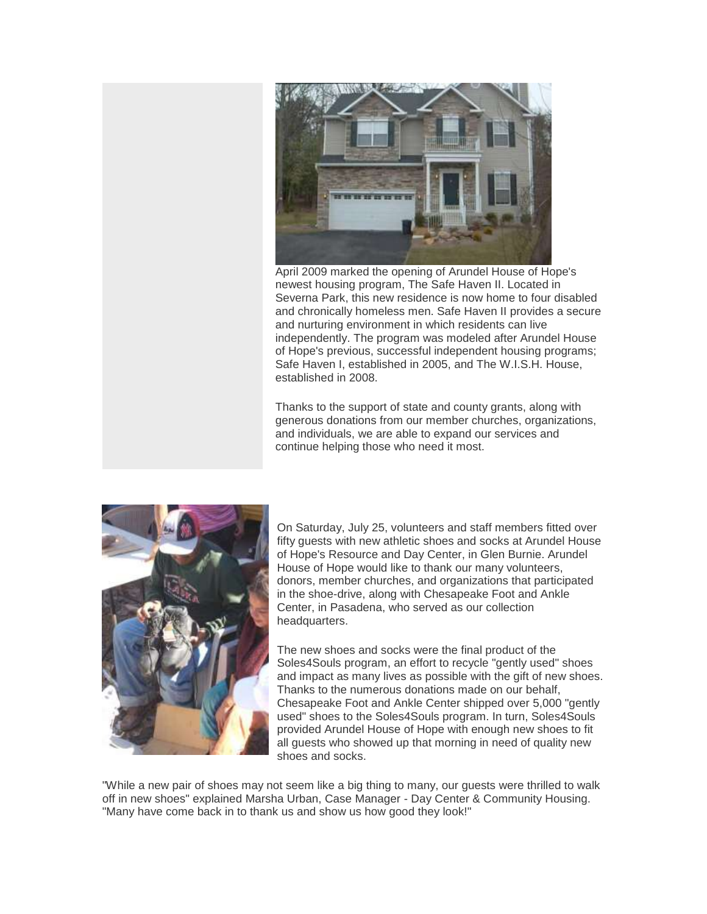

April 2009 marked the opening of Arundel House of Hope's newest housing program, The Safe Haven II. Located in Severna Park, this new residence is now home to four disabled and chronically homeless men. Safe Haven II provides a secure and nurturing environment in which residents can live independently. The program was modeled after Arundel House of Hope's previous, successful independent housing programs; Safe Haven I, established in 2005, and The W.I.S.H. House, established in 2008.

Thanks to the support of state and county grants, along with generous donations from our member churches, organizations, and individuals, we are able to expand our services and continue helping those who need it most.



On Saturday, July 25, volunteers and staff members fitted over fifty guests with new athletic shoes and socks at Arundel House of Hope's Resource and Day Center, in Glen Burnie. Arundel House of Hope would like to thank our many volunteers, donors, member churches, and organizations that participated in the shoe-drive, along with Chesapeake Foot and Ankle Center, in Pasadena, who served as our collection headquarters.

The new shoes and socks were the final product of the Soles4Souls program, an effort to recycle "gently used" shoes and impact as many lives as possible with the gift of new shoes. Thanks to the numerous donations made on our behalf, Chesapeake Foot and Ankle Center shipped over 5,000 "gently used" shoes to the Soles4Souls program. In turn, Soles4Souls provided Arundel House of Hope with enough new shoes to fit all guests who showed up that morning in need of quality new shoes and socks.

"While a new pair of shoes may not seem like a big thing to many, our guests were thrilled to walk off in new shoes" explained Marsha Urban, Case Manager - Day Center & Community Housing. "Many have come back in to thank us and show us how good they look!"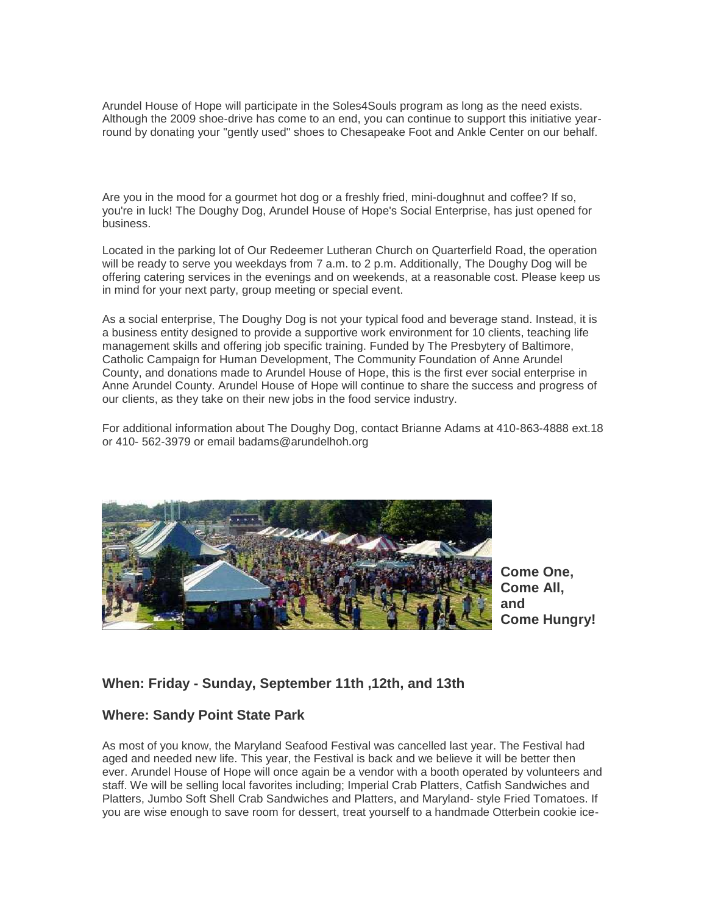Arundel House of Hope will participate in the Soles4Souls program as long as the need exists. Although the 2009 shoe-drive has come to an end, you can continue to support this initiative yearround by donating your "gently used" shoes to Chesapeake Foot and Ankle Center on our behalf.

Are you in the mood for a gourmet hot dog or a freshly fried, mini-doughnut and coffee? If so, you're in luck! The Doughy Dog, Arundel House of Hope's Social Enterprise, has just opened for business.

Located in the parking lot of Our Redeemer Lutheran Church on Quarterfield Road, the operation will be ready to serve you weekdays from 7 a.m. to 2 p.m. Additionally, The Doughy Dog will be offering catering services in the evenings and on weekends, at a reasonable cost. Please keep us in mind for your next party, group meeting or special event.

As a social enterprise, The Doughy Dog is not your typical food and beverage stand. Instead, it is a business entity designed to provide a supportive work environment for 10 clients, teaching life management skills and offering job specific training. Funded by The Presbytery of Baltimore, Catholic Campaign for Human Development, The Community Foundation of Anne Arundel County, and donations made to Arundel House of Hope, this is the first ever social enterprise in Anne Arundel County. Arundel House of Hope will continue to share the success and progress of our clients, as they take on their new jobs in the food service industry.

For additional information about The Doughy Dog, contact Brianne Adams at 410-863-4888 ext.18 or 410- 562-3979 or email badams@arundelhoh.org



**Come One, Come All, and Come Hungry!**

### **When: Friday - Sunday, September 11th ,12th, and 13th**

### **Where: Sandy Point State Park**

As most of you know, the Maryland Seafood Festival was cancelled last year. The Festival had aged and needed new life. This year, the Festival is back and we believe it will be better then ever. Arundel House of Hope will once again be a vendor with a booth operated by volunteers and staff. We will be selling local favorites including; Imperial Crab Platters, Catfish Sandwiches and Platters, Jumbo Soft Shell Crab Sandwiches and Platters, and Maryland- style Fried Tomatoes. If you are wise enough to save room for dessert, treat yourself to a handmade Otterbein cookie ice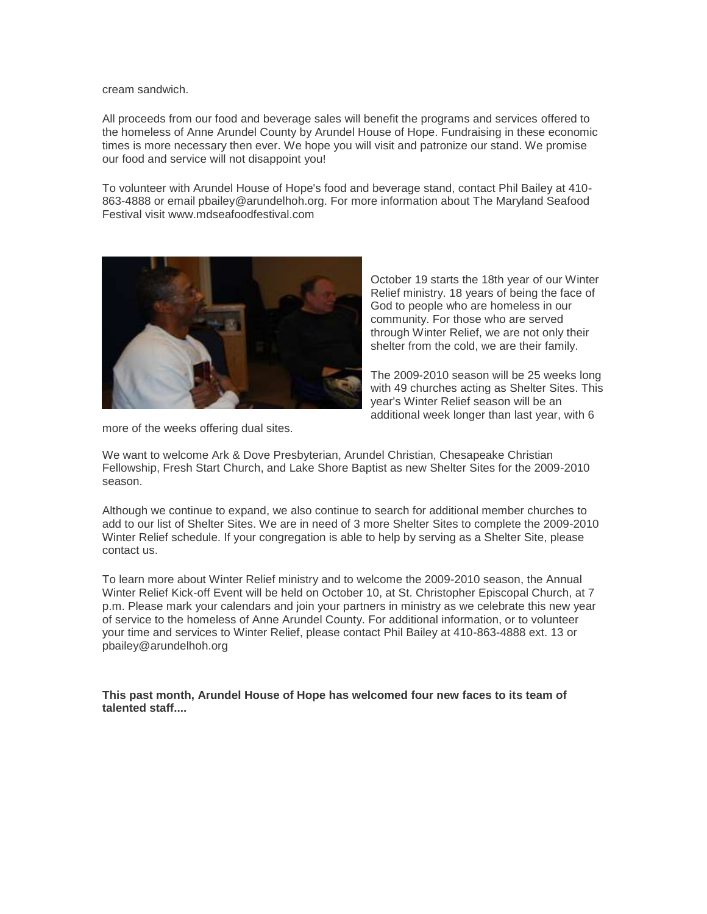cream sandwich.

All proceeds from our food and beverage sales will benefit the programs and services offered to the homeless of Anne Arundel County by Arundel House of Hope. Fundraising in these economic times is more necessary then ever. We hope you will visit and patronize our stand. We promise our food and service will not disappoint you!

To volunteer with Arundel House of Hope's food and beverage stand, contact Phil Bailey at 410- 863-4888 or email pbailey@arundelhoh.org. For more information about The Maryland Seafood Festival visit www.mdseafoodfestival.com



October 19 starts the 18th year of our Winter Relief ministry. 18 years of being the face of God to people who are homeless in our community. For those who are served through Winter Relief, we are not only their shelter from the cold, we are their family.

The 2009-2010 season will be 25 weeks long with 49 churches acting as Shelter Sites. This year's Winter Relief season will be an additional week longer than last year, with 6

more of the weeks offering dual sites.

We want to welcome Ark & Dove Presbyterian, Arundel Christian, Chesapeake Christian Fellowship, Fresh Start Church, and Lake Shore Baptist as new Shelter Sites for the 2009-2010 season.

Although we continue to expand, we also continue to search for additional member churches to add to our list of Shelter Sites. We are in need of 3 more Shelter Sites to complete the 2009-2010 Winter Relief schedule. If your congregation is able to help by serving as a Shelter Site, please contact us.

To learn more about Winter Relief ministry and to welcome the 2009-2010 season, the Annual Winter Relief Kick-off Event will be held on October 10, at St. Christopher Episcopal Church, at 7 p.m. Please mark your calendars and join your partners in ministry as we celebrate this new year of service to the homeless of Anne Arundel County. For additional information, or to volunteer your time and services to Winter Relief, please contact Phil Bailey at 410-863-4888 ext. 13 or pbailey@arundelhoh.org

**This past month, Arundel House of Hope has welcomed four new faces to its team of talented staff....**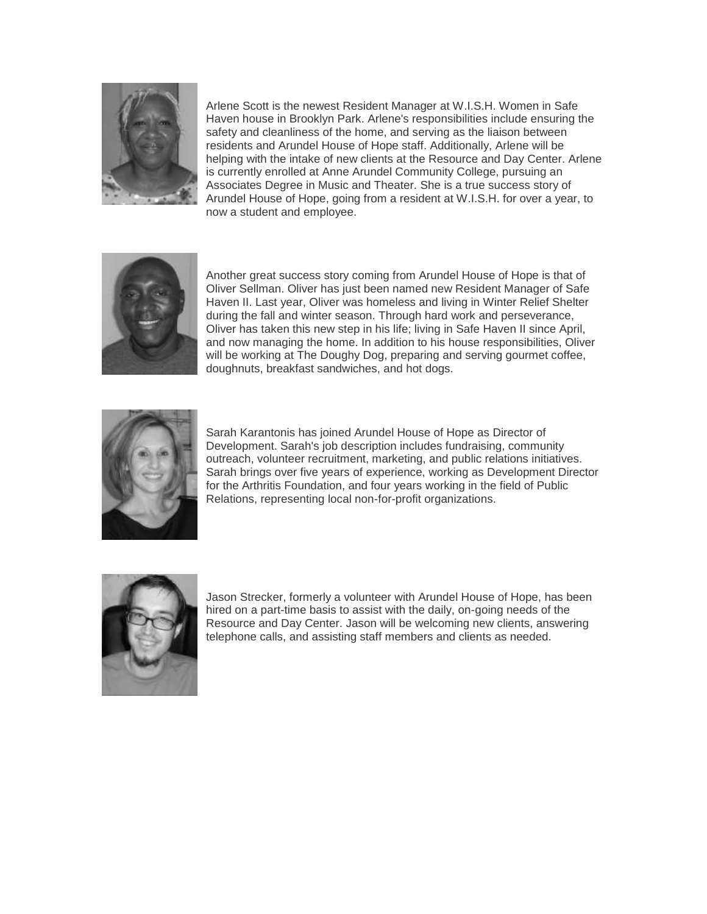

Arlene Scott is the newest Resident Manager at W.I.S.H. Women in Safe Haven house in Brooklyn Park. Arlene's responsibilities include ensuring the safety and cleanliness of the home, and serving as the liaison between residents and Arundel House of Hope staff. Additionally, Arlene will be helping with the intake of new clients at the Resource and Day Center. Arlene is currently enrolled at Anne Arundel Community College, pursuing an Associates Degree in Music and Theater. She is a true success story of Arundel House of Hope, going from a resident at W.I.S.H. for over a year, to now a student and employee.



Another great success story coming from Arundel House of Hope is that of Oliver Sellman. Oliver has just been named new Resident Manager of Safe Haven II. Last year, Oliver was homeless and living in Winter Relief Shelter during the fall and winter season. Through hard work and perseverance, Oliver has taken this new step in his life; living in Safe Haven II since April, and now managing the home. In addition to his house responsibilities, Oliver will be working at The Doughy Dog, preparing and serving gourmet coffee, doughnuts, breakfast sandwiches, and hot dogs.



Sarah Karantonis has joined Arundel House of Hope as Director of Development. Sarah's job description includes fundraising, community outreach, volunteer recruitment, marketing, and public relations initiatives. Sarah brings over five years of experience, working as Development Director for the Arthritis Foundation, and four years working in the field of Public Relations, representing local non-for-profit organizations.



Jason Strecker, formerly a volunteer with Arundel House of Hope, has been hired on a part-time basis to assist with the daily, on-going needs of the Resource and Day Center. Jason will be welcoming new clients, answering telephone calls, and assisting staff members and clients as needed.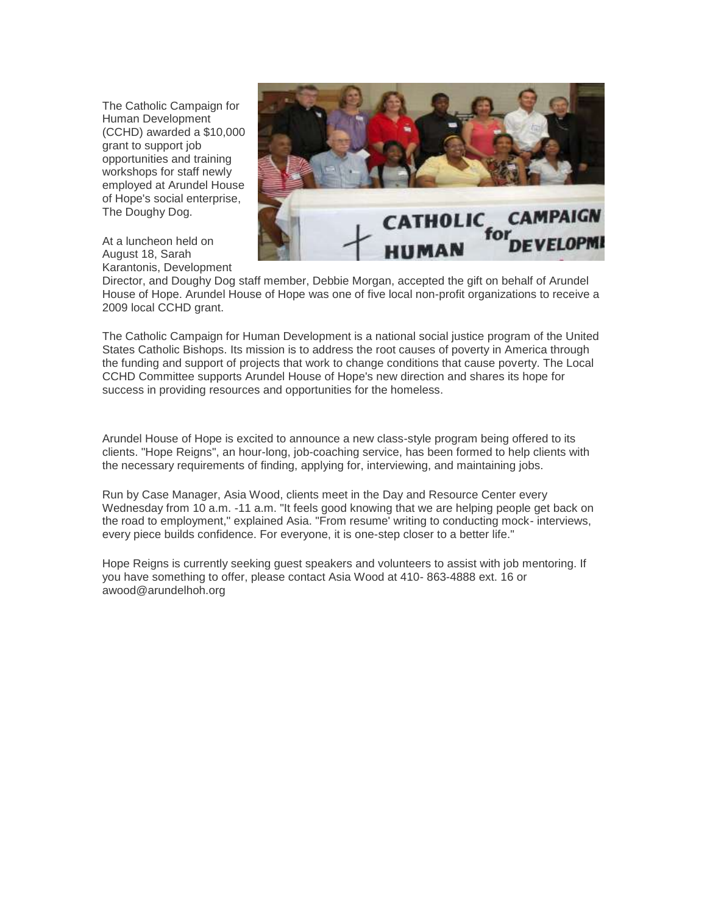The Catholic Campaign for Human Development (CCHD) awarded a \$10,000 grant to support job opportunities and training workshops for staff newly employed at Arundel House of Hope's social enterprise, The Doughy Dog.

At a luncheon held on August 18, Sarah Karantonis, Development



Director, and Doughy Dog staff member, Debbie Morgan, accepted the gift on behalf of Arundel House of Hope. Arundel House of Hope was one of five local non-profit organizations to receive a 2009 local CCHD grant.

The Catholic Campaign for Human Development is a national social justice program of the United States Catholic Bishops. Its mission is to address the root causes of poverty in America through the funding and support of projects that work to change conditions that cause poverty. The Local CCHD Committee supports Arundel House of Hope's new direction and shares its hope for success in providing resources and opportunities for the homeless.

Arundel House of Hope is excited to announce a new class-style program being offered to its clients. "Hope Reigns", an hour-long, job-coaching service, has been formed to help clients with the necessary requirements of finding, applying for, interviewing, and maintaining jobs.

Run by Case Manager, Asia Wood, clients meet in the Day and Resource Center every Wednesday from 10 a.m. -11 a.m. "It feels good knowing that we are helping people get back on the road to employment," explained Asia. "From resume' writing to conducting mock- interviews, every piece builds confidence. For everyone, it is one-step closer to a better life."

Hope Reigns is currently seeking guest speakers and volunteers to assist with job mentoring. If you have something to offer, please contact Asia Wood at 410- 863-4888 ext. 16 or awood@arundelhoh.org